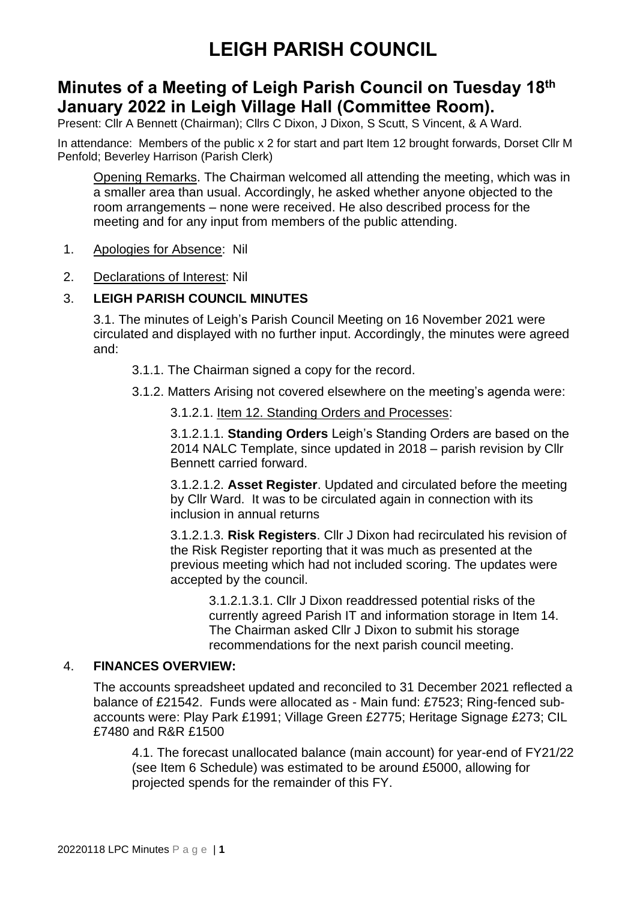# **Minutes of a Meeting of Leigh Parish Council on Tuesday 18th January 2022 in Leigh Village Hall (Committee Room).**

Present: Cllr A Bennett (Chairman); Cllrs C Dixon, J Dixon, S Scutt, S Vincent, & A Ward.

In attendance: Members of the public x 2 for start and part Item 12 brought forwards, Dorset Cllr M Penfold; Beverley Harrison (Parish Clerk)

Opening Remarks. The Chairman welcomed all attending the meeting, which was in a smaller area than usual. Accordingly, he asked whether anyone objected to the room arrangements – none were received. He also described process for the meeting and for any input from members of the public attending.

- 1. Apologies for Absence: Nil
- 2. Declarations of Interest: Nil

### 3. **LEIGH PARISH COUNCIL MINUTES**

3.1. The minutes of Leigh's Parish Council Meeting on 16 November 2021 were circulated and displayed with no further input. Accordingly, the minutes were agreed and:

- 3.1.1. The Chairman signed a copy for the record.
- 3.1.2. Matters Arising not covered elsewhere on the meeting's agenda were:
	- 3.1.2.1. Item 12. Standing Orders and Processes:

3.1.2.1.1. **Standing Orders** Leigh's Standing Orders are based on the 2014 NALC Template, since updated in 2018 – parish revision by Cllr Bennett carried forward.

3.1.2.1.2. **Asset Register**. Updated and circulated before the meeting by Cllr Ward. It was to be circulated again in connection with its inclusion in annual returns

3.1.2.1.3. **Risk Registers**. Cllr J Dixon had recirculated his revision of the Risk Register reporting that it was much as presented at the previous meeting which had not included scoring. The updates were accepted by the council.

3.1.2.1.3.1. Cllr J Dixon readdressed potential risks of the currently agreed Parish IT and information storage in Item 14. The Chairman asked Cllr J Dixon to submit his storage recommendations for the next parish council meeting.

#### 4. **FINANCES OVERVIEW:**

The accounts spreadsheet updated and reconciled to 31 December 2021 reflected a balance of £21542. Funds were allocated as - Main fund: £7523; Ring-fenced subaccounts were: Play Park £1991; Village Green £2775; Heritage Signage £273; CIL £7480 and R&R £1500

4.1. The forecast unallocated balance (main account) for year-end of FY21/22 (see Item 6 Schedule) was estimated to be around £5000, allowing for projected spends for the remainder of this FY.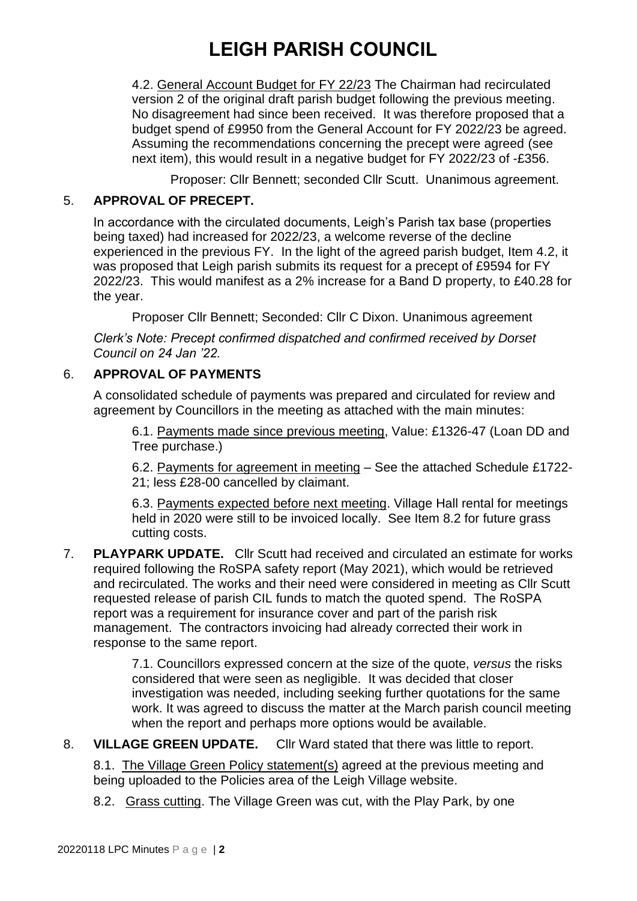4.2. General Account Budget for FY 22/23 The Chairman had recirculated version 2 of the original draft parish budget following the previous meeting. No disagreement had since been received. It was therefore proposed that a budget spend of £9950 from the General Account for FY 2022/23 be agreed. Assuming the recommendations concerning the precept were agreed (see next item), this would result in a negative budget for FY 2022/23 of -£356.

Proposer: Cllr Bennett; seconded Cllr Scutt. Unanimous agreement.

#### 5. **APPROVAL OF PRECEPT.**

In accordance with the circulated documents, Leigh's Parish tax base (properties being taxed) had increased for 2022/23, a welcome reverse of the decline experienced in the previous FY. In the light of the agreed parish budget, Item 4.2, it was proposed that Leigh parish submits its request for a precept of £9594 for FY 2022/23. This would manifest as a 2% increase for a Band D property, to £40.28 for the year.

Proposer Cllr Bennett; Seconded: Cllr C Dixon. Unanimous agreement

*Clerk's Note: Precept confirmed dispatched and confirmed received by Dorset Council on 24 Jan '22.* 

### 6. **APPROVAL OF PAYMENTS**

A consolidated schedule of payments was prepared and circulated for review and agreement by Councillors in the meeting as attached with the main minutes:

6.1. Payments made since previous meeting, Value: £1326-47 (Loan DD and Tree purchase.)

6.2. Payments for agreement in meeting – See the attached Schedule £1722- 21; less £28-00 cancelled by claimant.

6.3. Payments expected before next meeting. Village Hall rental for meetings held in 2020 were still to be invoiced locally. See Item 8.2 for future grass cutting costs.

7. **PLAYPARK UPDATE.** Cllr Scutt had received and circulated an estimate for works required following the RoSPA safety report (May 2021), which would be retrieved and recirculated. The works and their need were considered in meeting as Cllr Scutt requested release of parish CIL funds to match the quoted spend. The RoSPA report was a requirement for insurance cover and part of the parish risk management. The contractors invoicing had already corrected their work in response to the same report.

> 7.1. Councillors expressed concern at the size of the quote, *versus* the risks considered that were seen as negligible. It was decided that closer investigation was needed, including seeking further quotations for the same work. It was agreed to discuss the matter at the March parish council meeting when the report and perhaps more options would be available.

8. **VILLAGE GREEN UPDATE.** Cllr Ward stated that there was little to report.

8.1. The Village Green Policy statement(s) agreed at the previous meeting and being uploaded to the Policies area of the Leigh Village website.

8.2. Grass cutting. The Village Green was cut, with the Play Park, by one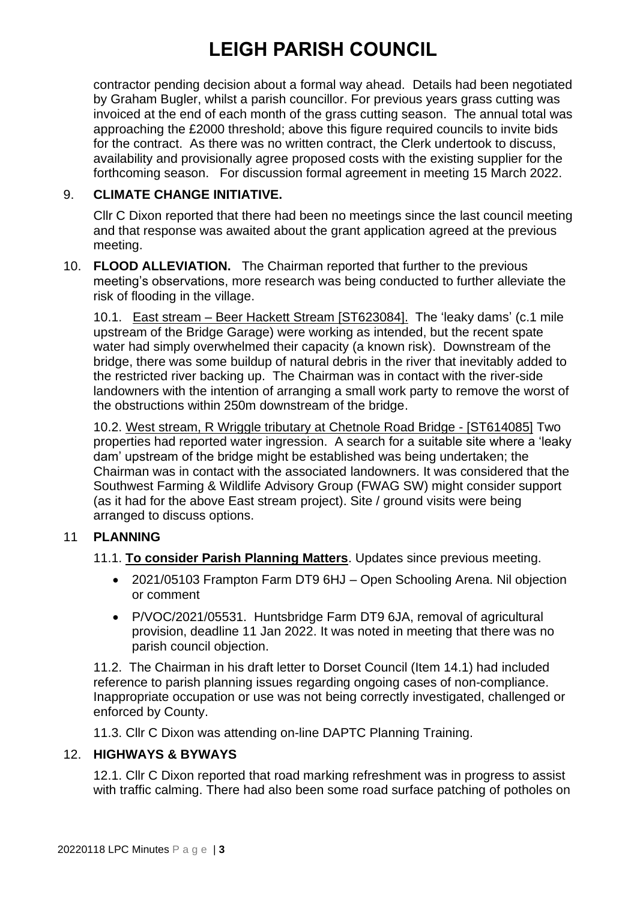contractor pending decision about a formal way ahead. Details had been negotiated by Graham Bugler, whilst a parish councillor. For previous years grass cutting was invoiced at the end of each month of the grass cutting season. The annual total was approaching the £2000 threshold; above this figure required councils to invite bids for the contract. As there was no written contract, the Clerk undertook to discuss, availability and provisionally agree proposed costs with the existing supplier for the forthcoming season. For discussion formal agreement in meeting 15 March 2022.

## 9. **CLIMATE CHANGE INITIATIVE.**

Cllr C Dixon reported that there had been no meetings since the last council meeting and that response was awaited about the grant application agreed at the previous meeting.

10. **FLOOD ALLEVIATION.** The Chairman reported that further to the previous meeting's observations, more research was being conducted to further alleviate the risk of flooding in the village.

10.1. East stream – Beer Hackett Stream [ST623084]. The 'leaky dams' (c.1 mile upstream of the Bridge Garage) were working as intended, but the recent spate water had simply overwhelmed their capacity (a known risk). Downstream of the bridge, there was some buildup of natural debris in the river that inevitably added to the restricted river backing up. The Chairman was in contact with the river-side landowners with the intention of arranging a small work party to remove the worst of the obstructions within 250m downstream of the bridge.

10.2. West stream, R Wriggle tributary at Chetnole Road Bridge - [ST614085] Two properties had reported water ingression. A search for a suitable site where a 'leaky dam' upstream of the bridge might be established was being undertaken; the Chairman was in contact with the associated landowners. It was considered that the Southwest Farming & Wildlife Advisory Group (FWAG SW) might consider support (as it had for the above East stream project). Site / ground visits were being arranged to discuss options.

### 11 **PLANNING**

11.1. **To consider Parish Planning Matters**. Updates since previous meeting.

- 2021/05103 Frampton Farm DT9 6HJ Open Schooling Arena. Nil objection or comment
- P/VOC/2021/05531. Huntsbridge Farm DT9 6JA, removal of agricultural provision, deadline 11 Jan 2022. It was noted in meeting that there was no parish council objection.

11.2. The Chairman in his draft letter to Dorset Council (Item 14.1) had included reference to parish planning issues regarding ongoing cases of non-compliance. Inappropriate occupation or use was not being correctly investigated, challenged or enforced by County.

11.3. Cllr C Dixon was attending on-line DAPTC Planning Training.

#### 12. **HIGHWAYS & BYWAYS**

12.1. Cllr C Dixon reported that road marking refreshment was in progress to assist with traffic calming. There had also been some road surface patching of potholes on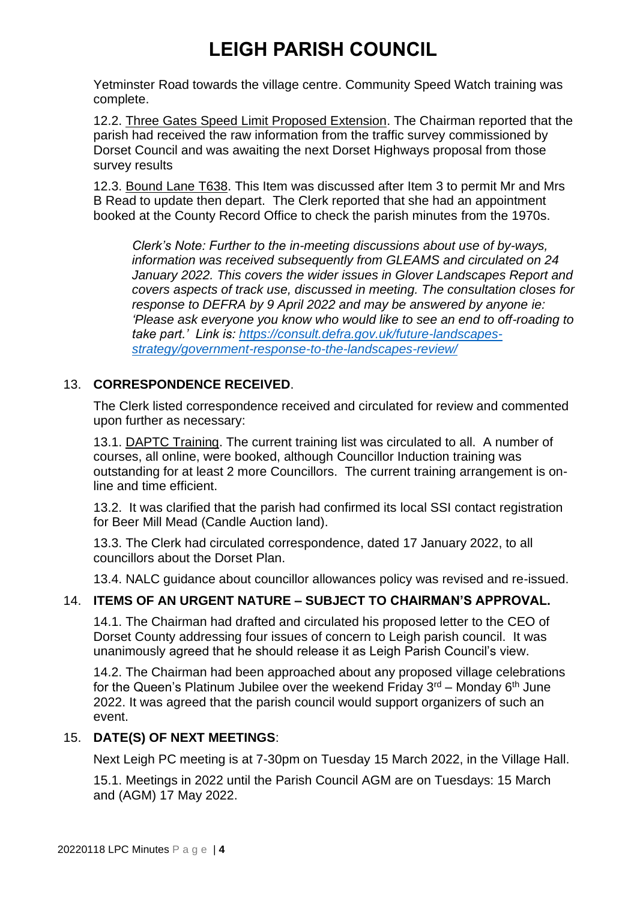Yetminster Road towards the village centre. Community Speed Watch training was complete.

12.2. Three Gates Speed Limit Proposed Extension. The Chairman reported that the parish had received the raw information from the traffic survey commissioned by Dorset Council and was awaiting the next Dorset Highways proposal from those survey results

12.3. Bound Lane T638. This Item was discussed after Item 3 to permit Mr and Mrs B Read to update then depart. The Clerk reported that she had an appointment booked at the County Record Office to check the parish minutes from the 1970s.

*Clerk's Note: Further to the in-meeting discussions about use of by-ways, information was received subsequently from GLEAMS and circulated on 24 January 2022. This covers the wider issues in Glover Landscapes Report and covers aspects of track use, discussed in meeting. The consultation closes for response to DEFRA by 9 April 2022 and may be answered by anyone ie: 'Please ask everyone you know who would like to see an end to off-roading to take part.' Link is: [https://consult.defra.gov.uk/future-landscapes](https://consult.defra.gov.uk/future-landscapes-strategy/government-response-to-the-landscapes-review/)[strategy/government-response-to-the-landscapes-review/](https://consult.defra.gov.uk/future-landscapes-strategy/government-response-to-the-landscapes-review/)*

### 13. **CORRESPONDENCE RECEIVED**.

The Clerk listed correspondence received and circulated for review and commented upon further as necessary:

13.1. DAPTC Training. The current training list was circulated to all. A number of courses, all online, were booked, although Councillor Induction training was outstanding for at least 2 more Councillors. The current training arrangement is online and time efficient.

13.2. It was clarified that the parish had confirmed its local SSI contact registration for Beer Mill Mead (Candle Auction land).

13.3. The Clerk had circulated correspondence, dated 17 January 2022, to all councillors about the Dorset Plan.

13.4. NALC guidance about councillor allowances policy was revised and re-issued.

### 14. **ITEMS OF AN URGENT NATURE – SUBJECT TO CHAIRMAN'S APPROVAL.**

14.1. The Chairman had drafted and circulated his proposed letter to the CEO of Dorset County addressing four issues of concern to Leigh parish council. It was unanimously agreed that he should release it as Leigh Parish Council's view.

14.2. The Chairman had been approached about any proposed village celebrations for the Queen's Platinum Jubilee over the weekend Friday  $3<sup>rd</sup>$  – Monday 6<sup>th</sup> June 2022. It was agreed that the parish council would support organizers of such an event.

#### 15. **DATE(S) OF NEXT MEETINGS**:

Next Leigh PC meeting is at 7-30pm on Tuesday 15 March 2022, in the Village Hall.

15.1. Meetings in 2022 until the Parish Council AGM are on Tuesdays: 15 March and (AGM) 17 May 2022.